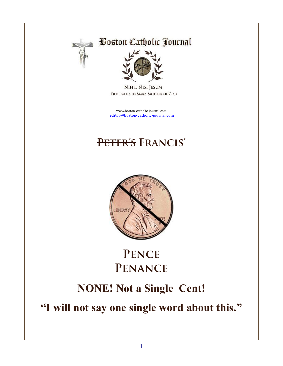

### **Boston Catholic Journal**



**NIHIL NISI JESUM** DEDICATED TO MARY, MOTHER OF GOD

[www.boston-catholic-journal.com](http://www.boston-catholic-journal.com/) [editor@boston-catholic-journal.com](mailto:editor@boston-catholic-journal.com)

 $\mathcal{L}_\text{max}$  , and the contribution of the contribution of the contribution of the contribution of the contribution of the contribution of the contribution of the contribution of the contribution of the contribution of t

# PETER'S FRANCIS'



# PENCE PENANCE

### **NONE! Not a Single Cent!**

**"I will not say one single word about this."**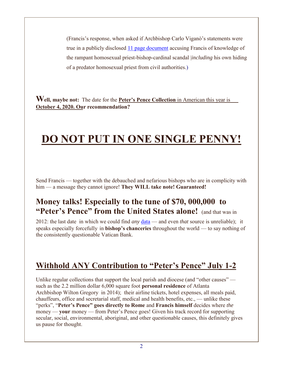(Francis's response, when asked if Archbishop Carlo Viganò's statements were true in a publicly disclosed [11 page document](http://www.boston-catholic-journal.com/archbishop-vigano) accusing Francis of knowledge of the rampant homosexual priest-bishop-cardinal scandal |*including* his own hiding of a predator homosexual priest from civil authorities.)

**Well, maybe not:** The date for the **Peter's Pence Collection** in American this year is **October 4, 2020. Our recommendation?**

# **DO NOT PUT IN ONE SINGLE PENNY!**

Send Francis — together with the debauched and nefarious bishops who are in complicity with him — a message they cannot ignore! **They WILL take note! Guaranteed!**

#### **Money talks! Especially to the tune of \$70, 000,000 to "Peter's Pence" from the United States alone!** (and that was in

2012: the last date in which we could find *any* [data](https://en.wikipedia.org/wiki/Peter) — and even *that* source is unreliable); it speaks especially forcefully in **bishop's chanceries** throughout the world — to say nothing of the consistently questionable Vatican Bank.

### **Withhold ANY Contribution to "Peter's Pence" July 1-2**

Unlike regular collections that support the local parish and diocese (and "other causes" such as the 2.2 million dollar 6,000 square foot **personal residence** of Atlanta Archbishop Wilton Gregory in 2014); their airline tickets, hotel expenses, all meals paid, chauffeurs, office and secretarial staff, medical and health benefits, etc., — unlike these "perks", "**Peter's Pence" goes directly to Rome** and **Francis himself** decides where *the* money — **your** money — from Peter's Pence goes! Given his track record for supporting secular, social, environmental, aboriginal, and other questionable causes, this definitely gives us pause for thought.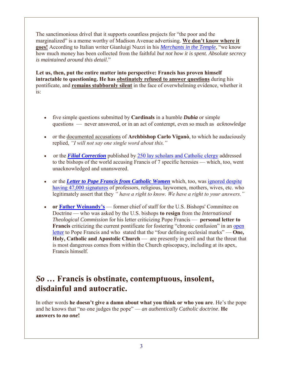The sanctimonious drivel that it supports countless projects for "the poor and the marginalized" is a meme worthy of Madison Avenue advertising. **We don't know where it goes!** According to Italian writer Gianluigi Nuzzi in his *[Merchants in the Temple](https://www.ncregister.com/site/article/peters-pence-probe)*, "we know how much money has been collected from the faithful *but not how it is spent. Absolute secrecy is maintained around this detail*."

**Let us, then, put the entire matter into perspective: Francis has proven himself intractable to questioning. He has obstinately refused to answer questions** during his pontificate, and **remains stubbornly silent** in the face of overwhelming evidence, whether it is:

- five simple questions submitted by **Cardinals** in a humble *Dubia* or simple questions — never answered, or in an act of contempt, even so much as *acknowledge*
- or the documented accusations of **Archbishop Carlo Viganò**, to which he audaciously replied, *"I will not say one single word about this."*
- or the **[Filial Correction](http://www.boston-catholic-journal.com/Correctio-filialis_English.pdf)** published by [250 lay scholars and Catholic clergy](http://www.correctiofilialis.org/signatories/) addressed to the bishops of the world accusing Francis of 7 specific heresies — which, too, went unacknowledged and unanswered.
- or the *[Letter to Pope Francis from Catholic Women](http://www.boston-catholic-journal.com/Letter-to-Pope-Francis-from-Catholic-Women-30-Aug-2019.pdf)* which, too, was [ignored despite](https://catholicwomensforum.org/letter-to-pope-francis/signatures/)  [having 47,000 signatures](https://catholicwomensforum.org/letter-to-pope-francis/signatures/) of professors, religious, laywomen, mothers, wives, etc. who legitimately assert that they *" have a right to know. We have a right to your answers."*
- **or [Father Weinandy's](http://www.boston-catholic-journal.com/Father%20Weinandy)** former chief of staff for the U.S. Bishops' Committee on Doctrine — who was asked by the U.S. bishops **to resign** from the *International Theological Commission* for his letter criticizing Pope Francis — **personal letter to Francis** criticizing the current pontificate for fostering "chronic confusion" in an open [letter](http://www.ncregister.com/blog/edward-pentin/full-text-of-father-weinandys-letter-to-pope-francis) to Pope Francis and who stated that the "four defining ecclesial marks" — **One, Holy, Catholic and Apostolic Church** — are presently in peril and that the threat that is most dangerous comes from within the Church episcopacy, including at its apex, Francis himself.

#### *So* **… Francis is obstinate, contemptuous, insolent, disdainful and autocratic.**

In other words **he doesn't give a damn about what you think or who you are**. He's the pope and he knows that "no one judges the pope" — *an authentically Catholic doctrine*. **He answers to** *no one***!**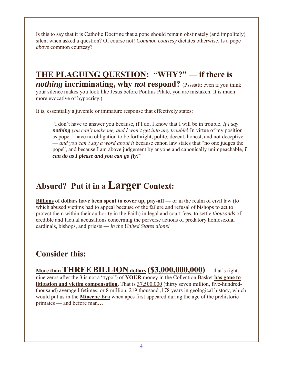Is this to say that it is Catholic Doctrine that a pope should remain obstinately (and impolitely) silent when asked a question? Of course not! *Common courtesy* dictates otherwise. Is a pope *above* common courtesy?

#### **THE PLAGUING QUESTION: "WHY?" — if there is**  *nothing* **incriminating, why** *not* **respond?** (Pssssttt: even if you think your silence makes you look like Jesus before Pontius Pilate, you are mistaken. It is much more evocative of hypocrisy.)

It is, essentially a juvenile or immature response that effectively states:

"I don't have to answer you because, if I do, I know that I will be in trouble. *If I say nothing you can't make me, and I won't get into any trouble*! In virtue of my position as pope I have no obligation to be forthright, polite, decent, honest, and not deceptive — *and you can't say a word about it* because canon law states that "no one judges the pope", and because I am above judgement by anyone and canonically unimpeachable, *I can do as I please and you can go fly!*"

### **Absurd? Put it in a Larger Context:**

**Billions of dollars have been spent to cover up, pay-off —** or in the realm of civil law (to which abused victims had to appeal because of the failure and refusal of bishops to act to protect them within their authority in the Faith) in legal and court fees, to settle *thousands* of credible and factual accusations concerning the perverse actions of predatory homosexual cardinals, bishops, and priests — *in the United States alone!*

#### **Consider this:**

**More than THREE BILLION dollars (\$3,000,000,000)** — that's right: nine zeros after the 3 is not a "typo") of **YOUR** money in the Collection Basket **has gone to litigation and victim compensation**. That is 37,500,000 (thirty seven million, five-hundredthousand) average lifetimes, or 8 million, 219 thousand ,178 years in geological history, which would put us in the **Miocene Era** when apes first appeared during the age of the prehistoric primates — and before man…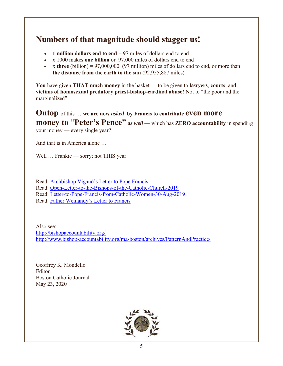#### **Numbers of that magnitude should stagger us!**

- **1 million dollars end to end** = 97 miles of dollars end to end
- x 1000 makes **one billion** or 97,000 miles of dollars end to end
- $\bullet$  x three (billion) = 97,000,000 (97 million) miles of dollars end to end, or more than **the distance from the earth to the sun** (92,955,887 miles).

**You** have given **THAT much money** in the basket — to be given to **lawyers**, **courts**, and **victims of homosexual predatory priest-bishop-cardinal abuse!** Not to "the poor and the marginalized"

**Ontop** of this … **we are now** *asked* **by Francis to contribute even more money to "Peter's Pence"** *as well* — which has **ZERO** accountability in spending your money — every single year?

And that is in America alone …

Well ... Frankie — sorry; not THIS year!

Read: [Archbishop Viganò's Letter to Pope Francis](http://www.boston-catholic-journal.com/Archbishop%20Vigano) Read: [Open-Letter-to-the-Bishops-of-the-Catholic-Church-2019](http://www.boston-catholic-journal.com/Open-Letter-to-the-Bishops-of-the-Catholic-2019.pdf) Read: [Letter-to-Pope-Francis-from-Catholic-Women-30-Aug-2019](http://www.boston-catholic-journal.com/Letter-to-Pope-Francis-from-Catholic-Women-30-Aug-2019.pdf) Read: [Father Weinandy's](http://www.boston-catholic-journal.com/Father%20Weinandy) Letter to Francis

Also see: <http://bishopaccountability.org/> <http://www.bishop-accountability.org/ma-boston/archives/PatternAndPractice/>

Geoffrey K. Mondello Editor Boston Catholic Journal May 23, 2020